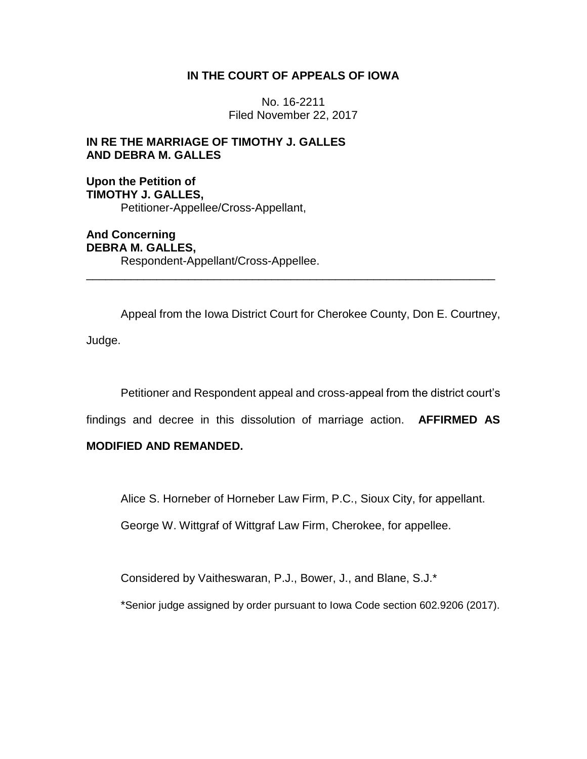## **IN THE COURT OF APPEALS OF IOWA**

No. 16-2211 Filed November 22, 2017

## **IN RE THE MARRIAGE OF TIMOTHY J. GALLES AND DEBRA M. GALLES**

**Upon the Petition of TIMOTHY J. GALLES,** Petitioner-Appellee/Cross-Appellant,

**And Concerning DEBRA M. GALLES,** Respondent-Appellant/Cross-Appellee.

Appeal from the Iowa District Court for Cherokee County, Don E. Courtney, Judge.

\_\_\_\_\_\_\_\_\_\_\_\_\_\_\_\_\_\_\_\_\_\_\_\_\_\_\_\_\_\_\_\_\_\_\_\_\_\_\_\_\_\_\_\_\_\_\_\_\_\_\_\_\_\_\_\_\_\_\_\_\_\_\_\_

Petitioner and Respondent appeal and cross-appeal from the district court's

findings and decree in this dissolution of marriage action. **AFFIRMED AS** 

### **MODIFIED AND REMANDED.**

Alice S. Horneber of Horneber Law Firm, P.C., Sioux City, for appellant.

George W. Wittgraf of Wittgraf Law Firm, Cherokee, for appellee.

Considered by Vaitheswaran, P.J., Bower, J., and Blane, S.J.\*

\*Senior judge assigned by order pursuant to Iowa Code section 602.9206 (2017).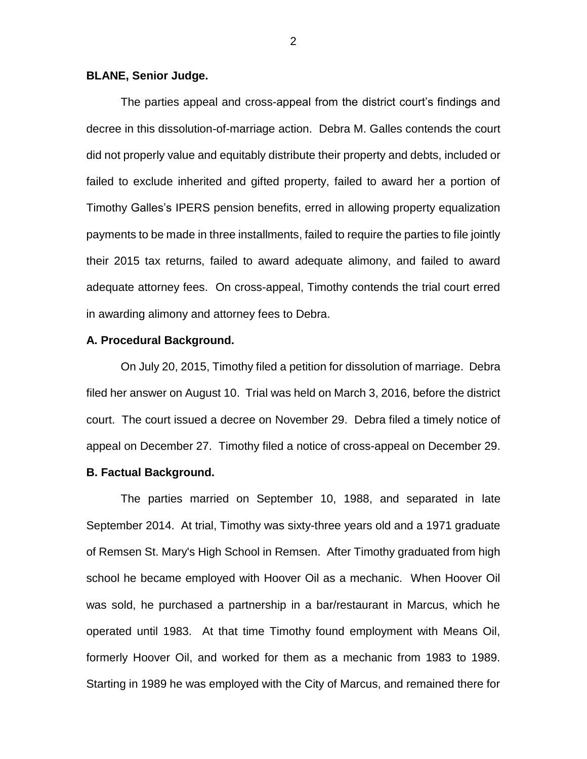#### **BLANE, Senior Judge.**

The parties appeal and cross-appeal from the district court's findings and decree in this dissolution-of-marriage action. Debra M. Galles contends the court did not properly value and equitably distribute their property and debts, included or failed to exclude inherited and gifted property, failed to award her a portion of Timothy Galles's IPERS pension benefits, erred in allowing property equalization payments to be made in three installments, failed to require the parties to file jointly their 2015 tax returns, failed to award adequate alimony, and failed to award adequate attorney fees. On cross-appeal, Timothy contends the trial court erred in awarding alimony and attorney fees to Debra.

#### **A. Procedural Background.**

On July 20, 2015, Timothy filed a petition for dissolution of marriage. Debra filed her answer on August 10. Trial was held on March 3, 2016, before the district court. The court issued a decree on November 29. Debra filed a timely notice of appeal on December 27. Timothy filed a notice of cross-appeal on December 29.

### **B. Factual Background.**

The parties married on September 10, 1988, and separated in late September 2014. At trial, Timothy was sixty-three years old and a 1971 graduate of Remsen St. Mary's High School in Remsen. After Timothy graduated from high school he became employed with Hoover Oil as a mechanic. When Hoover Oil was sold, he purchased a partnership in a bar/restaurant in Marcus, which he operated until 1983. At that time Timothy found employment with Means Oil, formerly Hoover Oil, and worked for them as a mechanic from 1983 to 1989. Starting in 1989 he was employed with the City of Marcus, and remained there for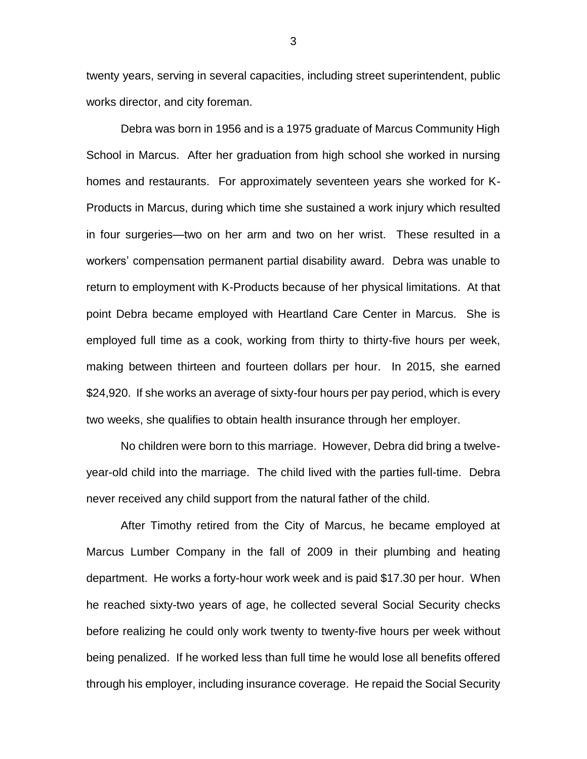twenty years, serving in several capacities, including street superintendent, public works director, and city foreman.

Debra was born in 1956 and is a 1975 graduate of Marcus Community High School in Marcus. After her graduation from high school she worked in nursing homes and restaurants. For approximately seventeen years she worked for K-Products in Marcus, during which time she sustained a work injury which resulted in four surgeries—two on her arm and two on her wrist. These resulted in a workers' compensation permanent partial disability award. Debra was unable to return to employment with K-Products because of her physical limitations. At that point Debra became employed with Heartland Care Center in Marcus. She is employed full time as a cook, working from thirty to thirty-five hours per week, making between thirteen and fourteen dollars per hour. In 2015, she earned \$24,920. If she works an average of sixty-four hours per pay period, which is every two weeks, she qualifies to obtain health insurance through her employer.

No children were born to this marriage. However, Debra did bring a twelveyear-old child into the marriage. The child lived with the parties full-time. Debra never received any child support from the natural father of the child.

After Timothy retired from the City of Marcus, he became employed at Marcus Lumber Company in the fall of 2009 in their plumbing and heating department. He works a forty-hour work week and is paid \$17.30 per hour. When he reached sixty-two years of age, he collected several Social Security checks before realizing he could only work twenty to twenty-five hours per week without being penalized. If he worked less than full time he would lose all benefits offered through his employer, including insurance coverage. He repaid the Social Security

3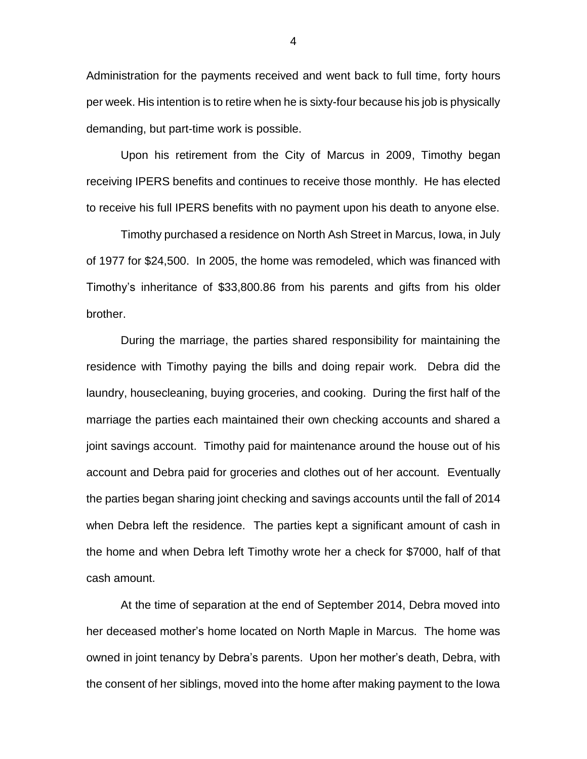Administration for the payments received and went back to full time, forty hours per week. His intention is to retire when he is sixty-four because his job is physically demanding, but part-time work is possible.

Upon his retirement from the City of Marcus in 2009, Timothy began receiving IPERS benefits and continues to receive those monthly. He has elected to receive his full IPERS benefits with no payment upon his death to anyone else.

Timothy purchased a residence on North Ash Street in Marcus, Iowa, in July of 1977 for \$24,500. In 2005, the home was remodeled, which was financed with Timothy's inheritance of \$33,800.86 from his parents and gifts from his older brother.

During the marriage, the parties shared responsibility for maintaining the residence with Timothy paying the bills and doing repair work. Debra did the laundry, housecleaning, buying groceries, and cooking. During the first half of the marriage the parties each maintained their own checking accounts and shared a joint savings account. Timothy paid for maintenance around the house out of his account and Debra paid for groceries and clothes out of her account. Eventually the parties began sharing joint checking and savings accounts until the fall of 2014 when Debra left the residence. The parties kept a significant amount of cash in the home and when Debra left Timothy wrote her a check for \$7000, half of that cash amount.

At the time of separation at the end of September 2014, Debra moved into her deceased mother's home located on North Maple in Marcus. The home was owned in joint tenancy by Debra's parents. Upon her mother's death, Debra, with the consent of her siblings, moved into the home after making payment to the Iowa

4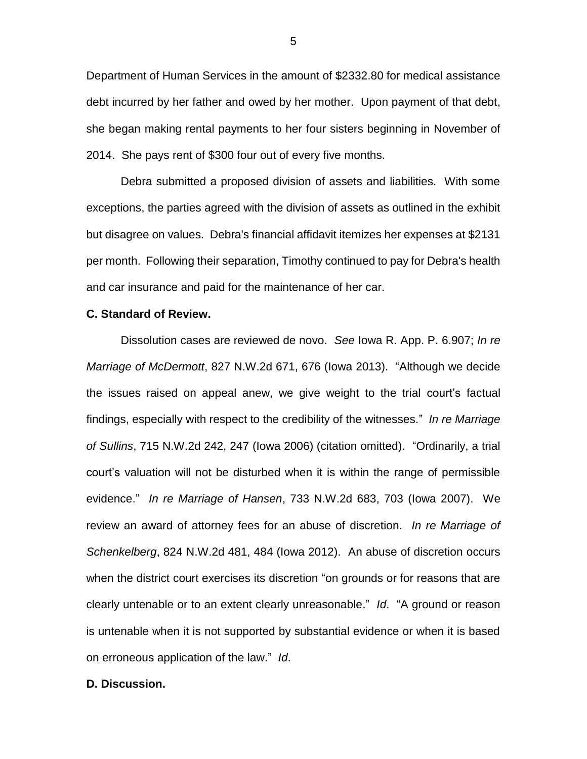Department of Human Services in the amount of \$2332.80 for medical assistance debt incurred by her father and owed by her mother. Upon payment of that debt, she began making rental payments to her four sisters beginning in November of 2014. She pays rent of \$300 four out of every five months.

Debra submitted a proposed division of assets and liabilities. With some exceptions, the parties agreed with the division of assets as outlined in the exhibit but disagree on values. Debra's financial affidavit itemizes her expenses at \$2131 per month. Following their separation, Timothy continued to pay for Debra's health and car insurance and paid for the maintenance of her car.

#### **C. Standard of Review.**

Dissolution cases are reviewed de novo. *See* Iowa R. App. P. 6.907; *In re Marriage of McDermott*, 827 N.W.2d 671, 676 (Iowa 2013). "Although we decide the issues raised on appeal anew, we give weight to the trial court's factual findings, especially with respect to the credibility of the witnesses." *In re Marriage of Sullins*, 715 N.W.2d 242, 247 (Iowa 2006) (citation omitted). "Ordinarily, a trial court's valuation will not be disturbed when it is within the range of permissible evidence." *In re Marriage of Hansen*, 733 N.W.2d 683, 703 (Iowa 2007). We review an award of attorney fees for an abuse of discretion. *In re Marriage of Schenkelberg*, 824 N.W.2d 481, 484 (Iowa 2012). An abuse of discretion occurs when the district court exercises its discretion "on grounds or for reasons that are clearly untenable or to an extent clearly unreasonable." *Id*. "A ground or reason is untenable when it is not supported by substantial evidence or when it is based on erroneous application of the law." *Id*.

#### **D. Discussion.**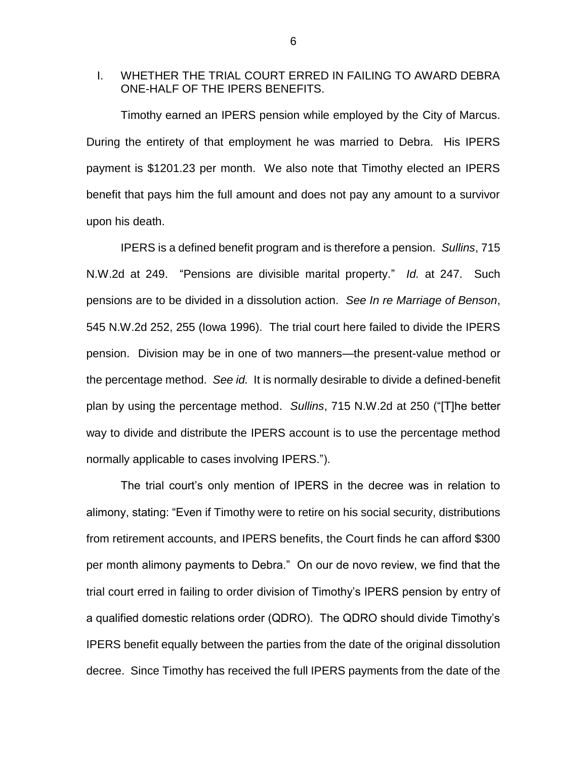## I. WHETHER THE TRIAL COURT ERRED IN FAILING TO AWARD DEBRA ONE-HALF OF THE IPERS BENEFITS.

Timothy earned an IPERS pension while employed by the City of Marcus. During the entirety of that employment he was married to Debra. His IPERS payment is \$1201.23 per month. We also note that Timothy elected an IPERS benefit that pays him the full amount and does not pay any amount to a survivor upon his death.

IPERS is a defined benefit program and is therefore a pension. *Sullins*, 715 N.W.2d at 249. "Pensions are divisible marital property." *Id.* at 247. Such pensions are to be divided in a dissolution action. *See In re Marriage of Benson*, 545 N.W.2d 252, 255 (Iowa 1996). The trial court here failed to divide the IPERS pension. Division may be in one of two manners—the present-value method or the percentage method. *See id.* It is normally desirable to divide a defined-benefit plan by using the percentage method. *Sullins*, 715 N.W.2d at 250 ("[T]he better way to divide and distribute the IPERS account is to use the percentage method normally applicable to cases involving IPERS.").

The trial court's only mention of IPERS in the decree was in relation to alimony, stating: "Even if Timothy were to retire on his social security, distributions from retirement accounts, and IPERS benefits, the Court finds he can afford \$300 per month alimony payments to Debra." On our de novo review, we find that the trial court erred in failing to order division of Timothy's IPERS pension by entry of a qualified domestic relations order (QDRO). The QDRO should divide Timothy's IPERS benefit equally between the parties from the date of the original dissolution decree. Since Timothy has received the full IPERS payments from the date of the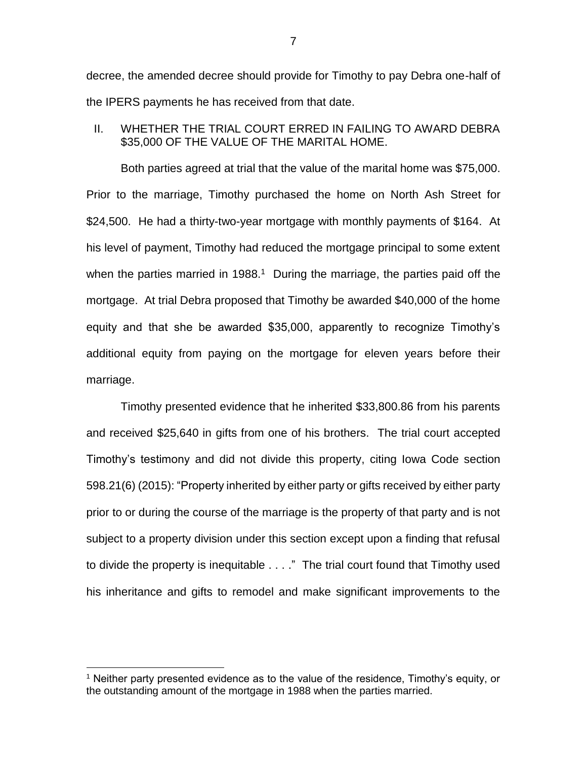decree, the amended decree should provide for Timothy to pay Debra one-half of the IPERS payments he has received from that date.

II. WHETHER THE TRIAL COURT ERRED IN FAILING TO AWARD DEBRA \$35,000 OF THE VALUE OF THE MARITAL HOME.

Both parties agreed at trial that the value of the marital home was \$75,000. Prior to the marriage, Timothy purchased the home on North Ash Street for \$24,500. He had a thirty-two-year mortgage with monthly payments of \$164. At his level of payment, Timothy had reduced the mortgage principal to some extent when the parties married in 1988.<sup>1</sup> During the marriage, the parties paid off the mortgage. At trial Debra proposed that Timothy be awarded \$40,000 of the home equity and that she be awarded \$35,000, apparently to recognize Timothy's additional equity from paying on the mortgage for eleven years before their marriage.

Timothy presented evidence that he inherited \$33,800.86 from his parents and received \$25,640 in gifts from one of his brothers. The trial court accepted Timothy's testimony and did not divide this property, citing Iowa Code section 598.21(6) (2015): "Property inherited by either party or gifts received by either party prior to or during the course of the marriage is the property of that party and is not subject to a property division under this section except upon a finding that refusal to divide the property is inequitable . . . ." The trial court found that Timothy used his inheritance and gifts to remodel and make significant improvements to the

<sup>&</sup>lt;sup>1</sup> Neither party presented evidence as to the value of the residence, Timothy's equity, or the outstanding amount of the mortgage in 1988 when the parties married.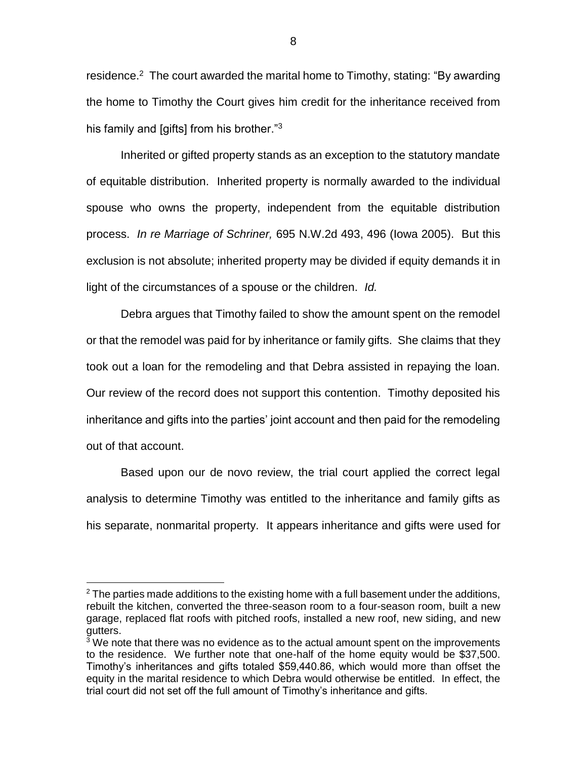residence.<sup>2</sup> The court awarded the marital home to Timothy, stating: "By awarding the home to Timothy the Court gives him credit for the inheritance received from his family and [gifts] from his brother." $3$ 

Inherited or gifted property stands as an exception to the statutory mandate of equitable distribution. Inherited property is normally awarded to the individual spouse who owns the property, independent from the equitable distribution process. *In re Marriage of Schriner,* 695 N.W.2d 493, 496 (Iowa 2005). But this exclusion is not absolute; inherited property may be divided if equity demands it in light of the circumstances of a spouse or the children. *Id.*

Debra argues that Timothy failed to show the amount spent on the remodel or that the remodel was paid for by inheritance or family gifts. She claims that they took out a loan for the remodeling and that Debra assisted in repaying the loan. Our review of the record does not support this contention. Timothy deposited his inheritance and gifts into the parties' joint account and then paid for the remodeling out of that account.

Based upon our de novo review, the trial court applied the correct legal analysis to determine Timothy was entitled to the inheritance and family gifts as his separate, nonmarital property. It appears inheritance and gifts were used for

 $2$  The parties made additions to the existing home with a full basement under the additions, rebuilt the kitchen, converted the three-season room to a four-season room, built a new garage, replaced flat roofs with pitched roofs, installed a new roof, new siding, and new gutters.

 $3\overline{3}$  We note that there was no evidence as to the actual amount spent on the improvements to the residence. We further note that one-half of the home equity would be \$37,500. Timothy's inheritances and gifts totaled \$59,440.86, which would more than offset the equity in the marital residence to which Debra would otherwise be entitled. In effect, the trial court did not set off the full amount of Timothy's inheritance and gifts.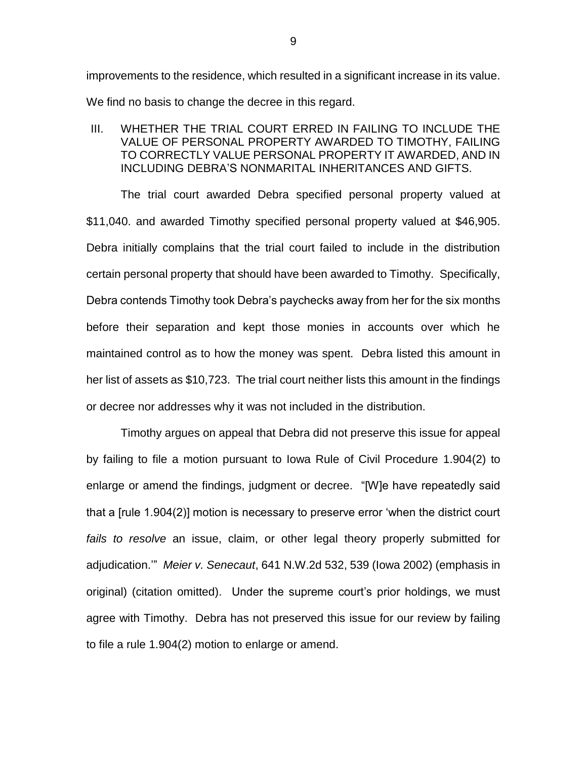improvements to the residence, which resulted in a significant increase in its value. We find no basis to change the decree in this regard.

III. WHETHER THE TRIAL COURT ERRED IN FAILING TO INCLUDE THE VALUE OF PERSONAL PROPERTY AWARDED TO TIMOTHY, FAILING TO CORRECTLY VALUE PERSONAL PROPERTY IT AWARDED, AND IN INCLUDING DEBRA'S NONMARITAL INHERITANCES AND GIFTS.

The trial court awarded Debra specified personal property valued at \$11,040. and awarded Timothy specified personal property valued at \$46,905. Debra initially complains that the trial court failed to include in the distribution certain personal property that should have been awarded to Timothy. Specifically, Debra contends Timothy took Debra's paychecks away from her for the six months before their separation and kept those monies in accounts over which he maintained control as to how the money was spent. Debra listed this amount in her list of assets as \$10,723. The trial court neither lists this amount in the findings or decree nor addresses why it was not included in the distribution.

Timothy argues on appeal that Debra did not preserve this issue for appeal by failing to file a motion pursuant to Iowa Rule of Civil Procedure 1.904(2) to enlarge or amend the findings, judgment or decree. "[W]e have repeatedly said that a [rule 1.904(2)] motion is necessary to preserve error 'when the district court *fails to resolve* an issue, claim, or other legal theory properly submitted for adjudication.'" *Meier v. Senecaut*, 641 N.W.2d 532, 539 (Iowa 2002) (emphasis in original) (citation omitted). Under the supreme court's prior holdings, we must agree with Timothy. Debra has not preserved this issue for our review by failing to file a rule 1.904(2) motion to enlarge or amend.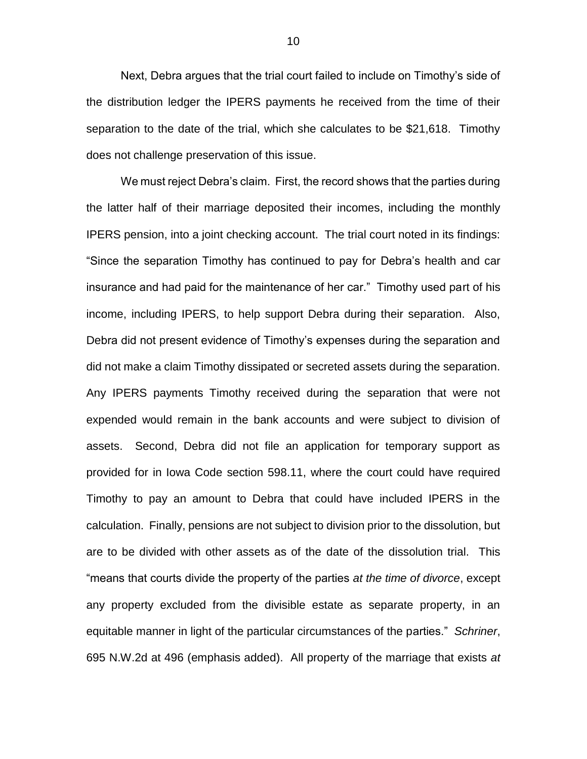Next, Debra argues that the trial court failed to include on Timothy's side of the distribution ledger the IPERS payments he received from the time of their separation to the date of the trial, which she calculates to be \$21,618. Timothy does not challenge preservation of this issue.

We must reject Debra's claim. First, the record shows that the parties during the latter half of their marriage deposited their incomes, including the monthly IPERS pension, into a joint checking account. The trial court noted in its findings: "Since the separation Timothy has continued to pay for Debra's health and car insurance and had paid for the maintenance of her car." Timothy used part of his income, including IPERS, to help support Debra during their separation. Also, Debra did not present evidence of Timothy's expenses during the separation and did not make a claim Timothy dissipated or secreted assets during the separation. Any IPERS payments Timothy received during the separation that were not expended would remain in the bank accounts and were subject to division of assets. Second, Debra did not file an application for temporary support as provided for in Iowa Code section 598.11, where the court could have required Timothy to pay an amount to Debra that could have included IPERS in the calculation. Finally, pensions are not subject to division prior to the dissolution, but are to be divided with other assets as of the date of the dissolution trial. This "means that courts divide the property of the parties *at the time of divorce*, except any property excluded from the divisible estate as separate property, in an equitable manner in light of the particular circumstances of the parties." *Schriner*, 695 N.W.2d at 496 (emphasis added). All property of the marriage that exists *at*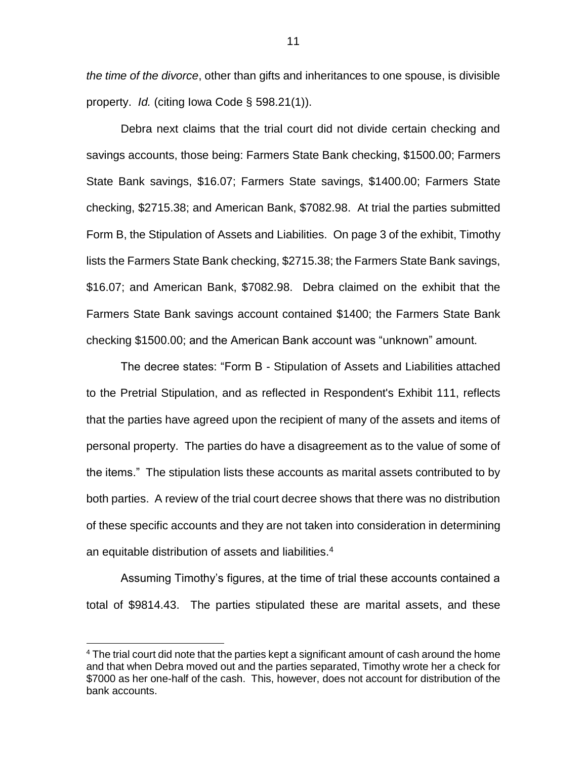*the time of the divorce*, other than gifts and inheritances to one spouse, is divisible property. *Id.* (citing Iowa Code § 598.21(1)).

Debra next claims that the trial court did not divide certain checking and savings accounts, those being: Farmers State Bank checking, \$1500.00; Farmers State Bank savings, \$16.07; Farmers State savings, \$1400.00; Farmers State checking, \$2715.38; and American Bank, \$7082.98. At trial the parties submitted Form B, the Stipulation of Assets and Liabilities. On page 3 of the exhibit, Timothy lists the Farmers State Bank checking, \$2715.38; the Farmers State Bank savings, \$16.07; and American Bank, \$7082.98. Debra claimed on the exhibit that the Farmers State Bank savings account contained \$1400; the Farmers State Bank checking \$1500.00; and the American Bank account was "unknown" amount.

The decree states: "Form B - Stipulation of Assets and Liabilities attached to the Pretrial Stipulation, and as reflected in Respondent's Exhibit 111, reflects that the parties have agreed upon the recipient of many of the assets and items of personal property. The parties do have a disagreement as to the value of some of the items." The stipulation lists these accounts as marital assets contributed to by both parties. A review of the trial court decree shows that there was no distribution of these specific accounts and they are not taken into consideration in determining an equitable distribution of assets and liabilities.<sup>4</sup>

Assuming Timothy's figures, at the time of trial these accounts contained a total of \$9814.43. The parties stipulated these are marital assets, and these

 $4$  The trial court did note that the parties kept a significant amount of cash around the home and that when Debra moved out and the parties separated, Timothy wrote her a check for \$7000 as her one-half of the cash. This, however, does not account for distribution of the bank accounts.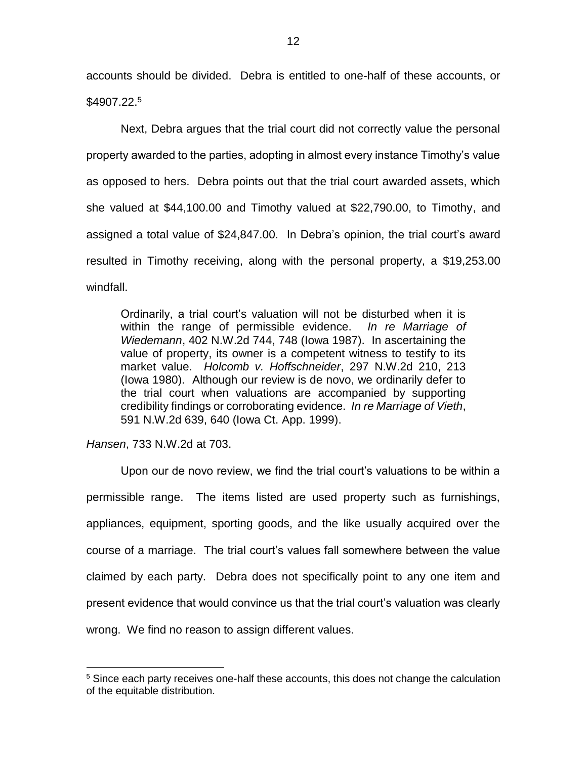accounts should be divided. Debra is entitled to one-half of these accounts, or \$4907.22.<sup>5</sup>

Next, Debra argues that the trial court did not correctly value the personal property awarded to the parties, adopting in almost every instance Timothy's value as opposed to hers. Debra points out that the trial court awarded assets, which she valued at \$44,100.00 and Timothy valued at \$22,790.00, to Timothy, and assigned a total value of \$24,847.00. In Debra's opinion, the trial court's award resulted in Timothy receiving, along with the personal property, a \$19,253.00 windfall.

Ordinarily, a trial court's valuation will not be disturbed when it is within the range of permissible evidence. *In re Marriage of Wiedemann*, 402 N.W.2d 744, 748 (Iowa 1987). In ascertaining the value of property, its owner is a competent witness to testify to its market value. *Holcomb v. Hoffschneider*, 297 N.W.2d 210, 213 (Iowa 1980). Although our review is de novo, we ordinarily defer to the trial court when valuations are accompanied by supporting credibility findings or corroborating evidence. *In re Marriage of Vieth*, 591 N.W.2d 639, 640 (Iowa Ct. App. 1999).

*Hansen*, 733 N.W.2d at 703.

 $\overline{a}$ 

Upon our de novo review, we find the trial court's valuations to be within a permissible range. The items listed are used property such as furnishings, appliances, equipment, sporting goods, and the like usually acquired over the course of a marriage. The trial court's values fall somewhere between the value claimed by each party. Debra does not specifically point to any one item and present evidence that would convince us that the trial court's valuation was clearly wrong. We find no reason to assign different values.

<sup>&</sup>lt;sup>5</sup> Since each party receives one-half these accounts, this does not change the calculation of the equitable distribution.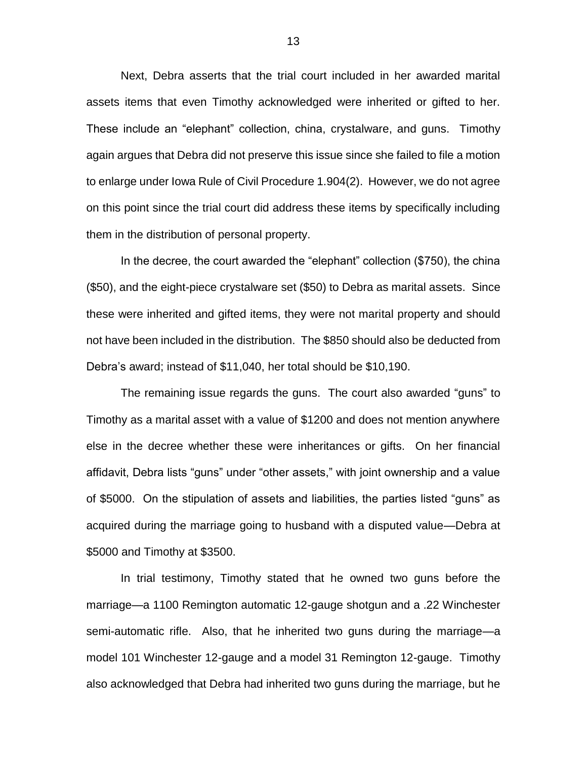Next, Debra asserts that the trial court included in her awarded marital assets items that even Timothy acknowledged were inherited or gifted to her. These include an "elephant" collection, china, crystalware, and guns. Timothy again argues that Debra did not preserve this issue since she failed to file a motion to enlarge under Iowa Rule of Civil Procedure 1.904(2). However, we do not agree on this point since the trial court did address these items by specifically including them in the distribution of personal property.

In the decree, the court awarded the "elephant" collection (\$750), the china (\$50), and the eight-piece crystalware set (\$50) to Debra as marital assets. Since these were inherited and gifted items, they were not marital property and should not have been included in the distribution. The \$850 should also be deducted from Debra's award; instead of \$11,040, her total should be \$10,190.

The remaining issue regards the guns. The court also awarded "guns" to Timothy as a marital asset with a value of \$1200 and does not mention anywhere else in the decree whether these were inheritances or gifts. On her financial affidavit, Debra lists "guns" under "other assets," with joint ownership and a value of \$5000. On the stipulation of assets and liabilities, the parties listed "guns" as acquired during the marriage going to husband with a disputed value—Debra at \$5000 and Timothy at \$3500.

In trial testimony, Timothy stated that he owned two guns before the marriage—a 1100 Remington automatic 12-gauge shotgun and a .22 Winchester semi-automatic rifle. Also, that he inherited two guns during the marriage—a model 101 Winchester 12-gauge and a model 31 Remington 12-gauge. Timothy also acknowledged that Debra had inherited two guns during the marriage, but he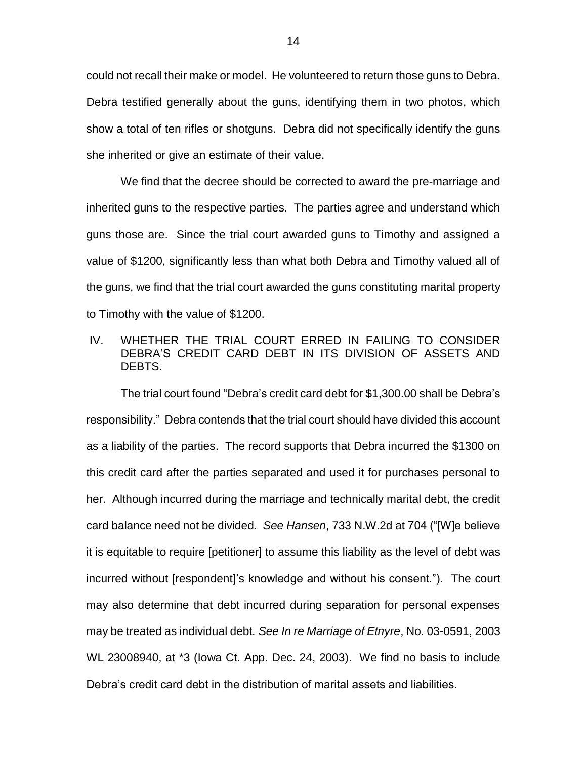could not recall their make or model. He volunteered to return those guns to Debra. Debra testified generally about the guns, identifying them in two photos, which show a total of ten rifles or shotguns. Debra did not specifically identify the guns she inherited or give an estimate of their value.

We find that the decree should be corrected to award the pre-marriage and inherited guns to the respective parties. The parties agree and understand which guns those are. Since the trial court awarded guns to Timothy and assigned a value of \$1200, significantly less than what both Debra and Timothy valued all of the guns, we find that the trial court awarded the guns constituting marital property to Timothy with the value of \$1200.

## IV. WHETHER THE TRIAL COURT ERRED IN FAILING TO CONSIDER DEBRA'S CREDIT CARD DEBT IN ITS DIVISION OF ASSETS AND DEBTS.

The trial court found "Debra's credit card debt for \$1,300.00 shall be Debra's responsibility." Debra contends that the trial court should have divided this account as a liability of the parties. The record supports that Debra incurred the \$1300 on this credit card after the parties separated and used it for purchases personal to her. Although incurred during the marriage and technically marital debt, the credit card balance need not be divided. *See Hansen*, 733 N.W.2d at 704 ("[W]e believe it is equitable to require [petitioner] to assume this liability as the level of debt was incurred without [respondent]'s knowledge and without his consent."). The court may also determine that debt incurred during separation for personal expenses may be treated as individual debt*. See In re Marriage of Etnyre*, No. 03-0591, 2003 WL 23008940, at \*3 (Iowa Ct. App. Dec. 24, 2003). We find no basis to include Debra's credit card debt in the distribution of marital assets and liabilities.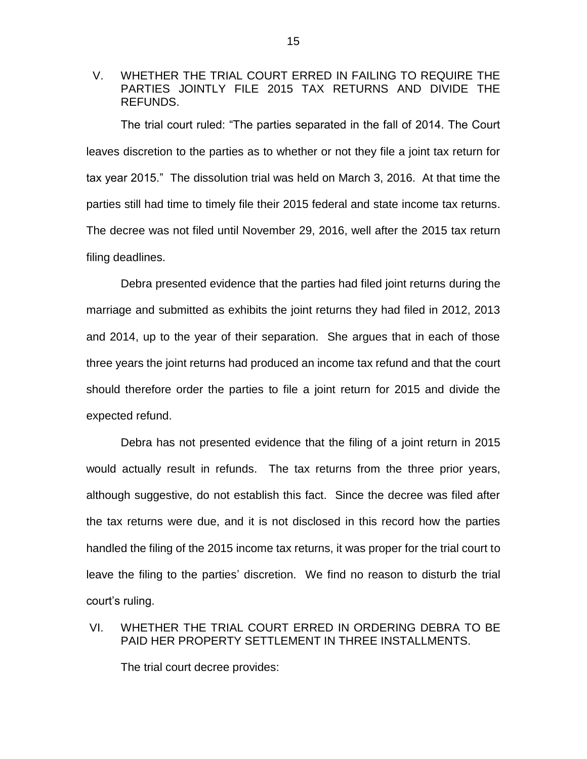## V. WHETHER THE TRIAL COURT ERRED IN FAILING TO REQUIRE THE PARTIES JOINTLY FILE 2015 TAX RETURNS AND DIVIDE THE REFUNDS.

The trial court ruled: "The parties separated in the fall of 2014. The Court leaves discretion to the parties as to whether or not they file a joint tax return for tax year 2015." The dissolution trial was held on March 3, 2016. At that time the parties still had time to timely file their 2015 federal and state income tax returns. The decree was not filed until November 29, 2016, well after the 2015 tax return filing deadlines.

Debra presented evidence that the parties had filed joint returns during the marriage and submitted as exhibits the joint returns they had filed in 2012, 2013 and 2014, up to the year of their separation. She argues that in each of those three years the joint returns had produced an income tax refund and that the court should therefore order the parties to file a joint return for 2015 and divide the expected refund.

Debra has not presented evidence that the filing of a joint return in 2015 would actually result in refunds. The tax returns from the three prior years, although suggestive, do not establish this fact. Since the decree was filed after the tax returns were due, and it is not disclosed in this record how the parties handled the filing of the 2015 income tax returns, it was proper for the trial court to leave the filing to the parties' discretion. We find no reason to disturb the trial court's ruling.

# VI. WHETHER THE TRIAL COURT ERRED IN ORDERING DEBRA TO BE PAID HER PROPERTY SETTLEMENT IN THREE INSTALLMENTS.

The trial court decree provides: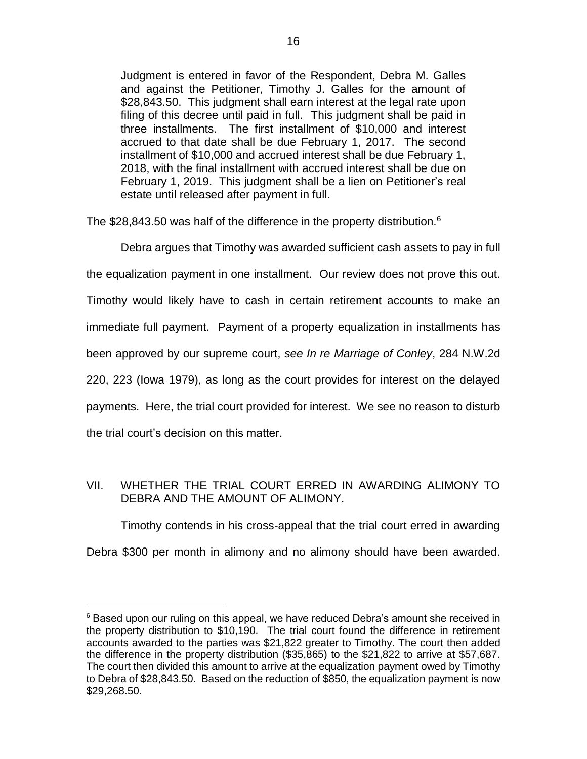Judgment is entered in favor of the Respondent, Debra M. Galles and against the Petitioner, Timothy J. Galles for the amount of \$28,843.50. This judgment shall earn interest at the legal rate upon filing of this decree until paid in full. This judgment shall be paid in three installments. The first installment of \$10,000 and interest accrued to that date shall be due February 1, 2017. The second installment of \$10,000 and accrued interest shall be due February 1, 2018, with the final installment with accrued interest shall be due on February 1, 2019. This judgment shall be a lien on Petitioner's real estate until released after payment in full.

The \$28,843.50 was half of the difference in the property distribution.<sup>6</sup>

Debra argues that Timothy was awarded sufficient cash assets to pay in full the equalization payment in one installment. Our review does not prove this out. Timothy would likely have to cash in certain retirement accounts to make an immediate full payment. Payment of a property equalization in installments has been approved by our supreme court, *see In re Marriage of Conley*, 284 N.W.2d 220, 223 (Iowa 1979), as long as the court provides for interest on the delayed payments. Here, the trial court provided for interest. We see no reason to disturb the trial court's decision on this matter.

## VII. WHETHER THE TRIAL COURT ERRED IN AWARDING ALIMONY TO DEBRA AND THE AMOUNT OF ALIMONY.

Timothy contends in his cross-appeal that the trial court erred in awarding Debra \$300 per month in alimony and no alimony should have been awarded.

 $6$  Based upon our ruling on this appeal, we have reduced Debra's amount she received in the property distribution to \$10,190. The trial court found the difference in retirement accounts awarded to the parties was \$21,822 greater to Timothy. The court then added the difference in the property distribution (\$35,865) to the \$21,822 to arrive at \$57,687. The court then divided this amount to arrive at the equalization payment owed by Timothy to Debra of \$28,843.50. Based on the reduction of \$850, the equalization payment is now \$29,268.50.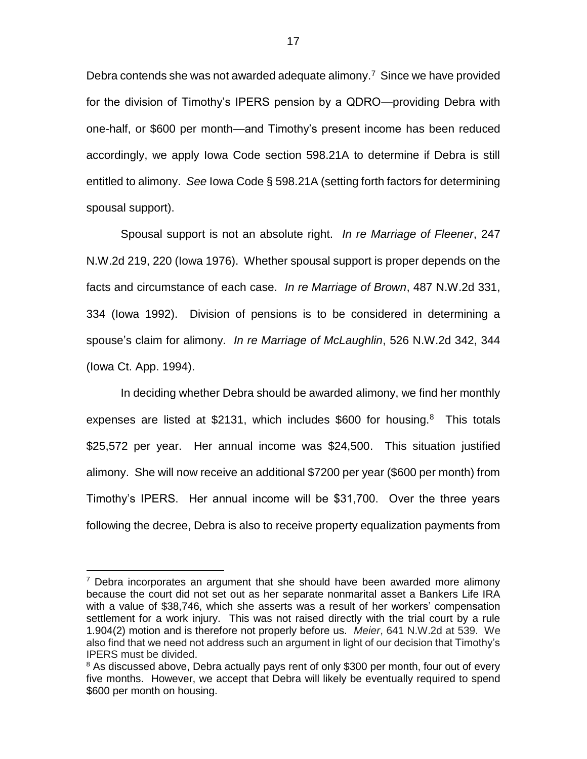Debra contends she was not awarded adequate alimony.<sup>7</sup> Since we have provided for the division of Timothy's IPERS pension by a QDRO—providing Debra with one-half, or \$600 per month—and Timothy's present income has been reduced accordingly, we apply Iowa Code section 598.21A to determine if Debra is still entitled to alimony. *See* Iowa Code § 598.21A (setting forth factors for determining spousal support).

Spousal support is not an absolute right. *In re Marriage of Fleener*, 247 N.W.2d 219, 220 (Iowa 1976). Whether spousal support is proper depends on the facts and circumstance of each case. *In re Marriage of Brown*, 487 N.W.2d 331, 334 (Iowa 1992). Division of pensions is to be considered in determining a spouse's claim for alimony. *In re Marriage of McLaughlin*, 526 N.W.2d 342, 344 (Iowa Ct. App. 1994).

In deciding whether Debra should be awarded alimony, we find her monthly expenses are listed at \$2131, which includes \$600 for housing. $8$  This totals \$25,572 per year. Her annual income was \$24,500. This situation justified alimony. She will now receive an additional \$7200 per year (\$600 per month) from Timothy's IPERS. Her annual income will be \$31,700. Over the three years following the decree, Debra is also to receive property equalization payments from

<sup>&</sup>lt;sup>7</sup> Debra incorporates an argument that she should have been awarded more alimony because the court did not set out as her separate nonmarital asset a Bankers Life IRA with a value of \$38,746, which she asserts was a result of her workers' compensation settlement for a work injury. This was not raised directly with the trial court by a rule 1.904(2) motion and is therefore not properly before us. *Meier*, 641 N.W.2d at 539. We also find that we need not address such an argument in light of our decision that Timothy's IPERS must be divided.

<sup>&</sup>lt;sup>8</sup> As discussed above, Debra actually pays rent of only \$300 per month, four out of every five months. However, we accept that Debra will likely be eventually required to spend \$600 per month on housing.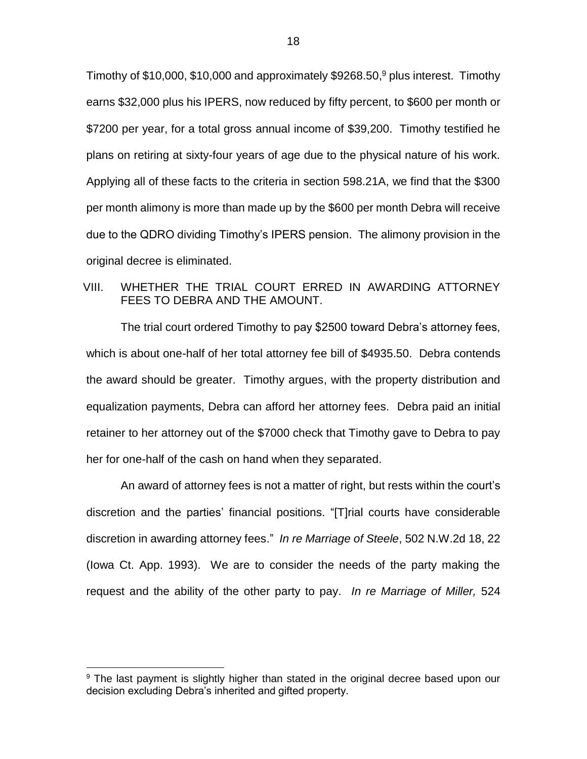Timothy of \$10,000, \$10,000 and approximately \$9268.50, <sup>9</sup> plus interest. Timothy earns \$32,000 plus his IPERS, now reduced by fifty percent, to \$600 per month or \$7200 per year, for a total gross annual income of \$39,200. Timothy testified he plans on retiring at sixty-four years of age due to the physical nature of his work. Applying all of these facts to the criteria in section 598.21A, we find that the \$300 per month alimony is more than made up by the \$600 per month Debra will receive due to the QDRO dividing Timothy's IPERS pension. The alimony provision in the original decree is eliminated.

## VIII. WHETHER THE TRIAL COURT ERRED IN AWARDING ATTORNEY FEES TO DEBRA AND THE AMOUNT.

The trial court ordered Timothy to pay \$2500 toward Debra's attorney fees, which is about one-half of her total attorney fee bill of \$4935.50. Debra contends the award should be greater. Timothy argues, with the property distribution and equalization payments, Debra can afford her attorney fees. Debra paid an initial retainer to her attorney out of the \$7000 check that Timothy gave to Debra to pay her for one-half of the cash on hand when they separated.

An award of attorney fees is not a matter of right, but rests within the court's discretion and the parties' financial positions. "[T]rial courts have considerable discretion in awarding attorney fees." *In re Marriage of Steele*, 502 N.W.2d 18, 22 (Iowa Ct. App. 1993). We are to consider the needs of the party making the request and the ability of the other party to pay. *In re Marriage of Miller,* 524

<sup>&</sup>lt;sup>9</sup> The last payment is slightly higher than stated in the original decree based upon our decision excluding Debra's inherited and gifted property.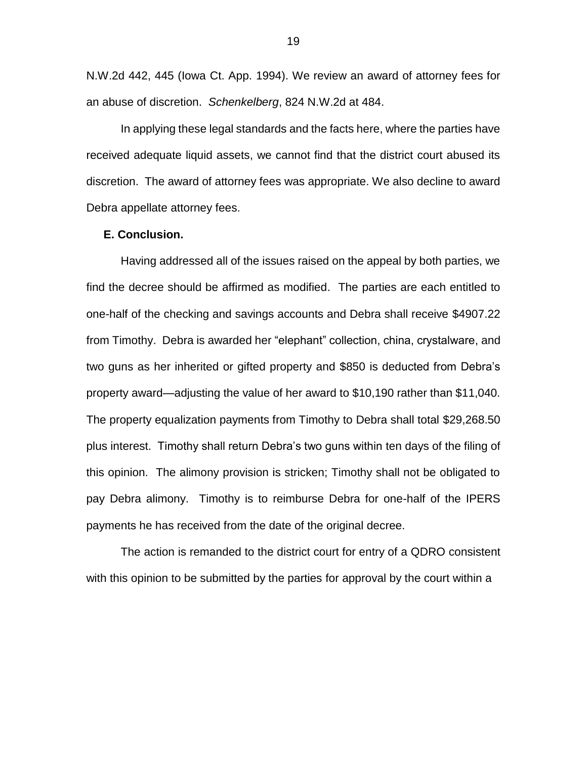N.W.2d 442, 445 (Iowa Ct. App. 1994). We review an award of attorney fees for an abuse of discretion. *Schenkelberg*, 824 N.W.2d at 484.

In applying these legal standards and the facts here, where the parties have received adequate liquid assets, we cannot find that the district court abused its discretion. The award of attorney fees was appropriate. We also decline to award Debra appellate attorney fees.

#### **E. Conclusion.**

Having addressed all of the issues raised on the appeal by both parties, we find the decree should be affirmed as modified. The parties are each entitled to one-half of the checking and savings accounts and Debra shall receive \$4907.22 from Timothy. Debra is awarded her "elephant" collection, china, crystalware, and two guns as her inherited or gifted property and \$850 is deducted from Debra's property award—adjusting the value of her award to \$10,190 rather than \$11,040. The property equalization payments from Timothy to Debra shall total \$29,268.50 plus interest. Timothy shall return Debra's two guns within ten days of the filing of this opinion. The alimony provision is stricken; Timothy shall not be obligated to pay Debra alimony. Timothy is to reimburse Debra for one-half of the IPERS payments he has received from the date of the original decree.

The action is remanded to the district court for entry of a QDRO consistent with this opinion to be submitted by the parties for approval by the court within a